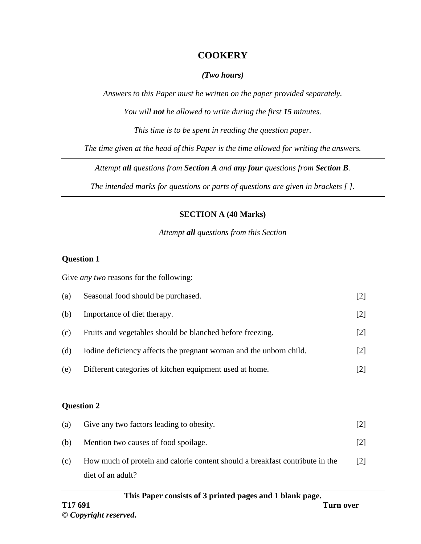## **COOKERY**

### *(Two hours)*

*Answers to this Paper must be written on the paper provided separately.*

*You will not be allowed to write during the first 15 minutes.*

*This time is to be spent in reading the question paper.*

*The time given at the head of this Paper is the time allowed for writing the answers.*

*Attempt all questions from Section A and any four questions from Section B.*

*The intended marks for questions or parts of questions are given in brackets [ ].*

## **SECTION A (40 Marks)**

### *Attempt all questions from this Section*

## **Question 1**

Give *any two* reasons for the following:

| (a) | Seasonal food should be purchased.                                 | $[2]$           |
|-----|--------------------------------------------------------------------|-----------------|
| (b) | Importance of diet therapy.                                        | $[2]$           |
| (c) | Fruits and vegetables should be blanched before freezing.          | $[2]$           |
| (d) | Iodine deficiency affects the pregnant woman and the unborn child. | $[2]$           |
| (e) | Different categories of kitchen equipment used at home.            | $[2]$           |
|     |                                                                    |                 |
|     | <b>Question 2</b>                                                  |                 |
| (a) | Give any two factors leading to obesity.                           | $[2]$           |
| (b) | Mention two causes of food spoilage.                               | $\vert 2 \vert$ |

(c) How much of protein and calorie content should a breakfast contribute in the diet of an adult? [2]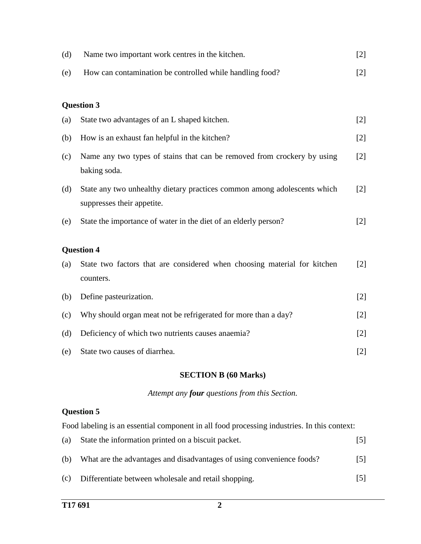| (d) | Name two important work centres in the kitchen.                                                        | $[2]$             |
|-----|--------------------------------------------------------------------------------------------------------|-------------------|
| (e) | How can contamination be controlled while handling food?                                               | $[2]$             |
|     | <b>Question 3</b>                                                                                      |                   |
| (a) | State two advantages of an L shaped kitchen.                                                           | $[2]$             |
| (b) | How is an exhaust fan helpful in the kitchen?                                                          | $[2]$             |
| (c) | Name any two types of stains that can be removed from crockery by using<br>baking soda.                | $[2]$             |
| (d) | State any two unhealthy dietary practices common among adolescents which<br>suppresses their appetite. | $\lceil 2 \rceil$ |
| (e) | State the importance of water in the diet of an elderly person?                                        | $[2]$             |
|     | <b>Question 4</b>                                                                                      |                   |
| (a) | State two factors that are considered when choosing material for kitchen<br>counters.                  | $\lceil 2 \rceil$ |
| (b) | Define pasteurization.                                                                                 | $[2]$             |
| (c) | Why should organ meat not be refrigerated for more than a day?                                         | $[2]$             |
| (d) | Deficiency of which two nutrients causes anaemia?                                                      | $[2]$             |
| (e) | State two causes of diarrhea.                                                                          | $[2]$             |

### **SECTION B (60 Marks)**

#### *Attempt any four questions from this Section.*

## **Question 5**

Food labeling is an essential component in all food processing industries. In this context:

| (a) | State the information printed on a biscuit packet.                    | 5    |
|-----|-----------------------------------------------------------------------|------|
| (h) | What are the advantages and disadvantages of using convenience foods? | 15 L |
| (c) | Differentiate between wholesale and retail shopping.                  | 151  |